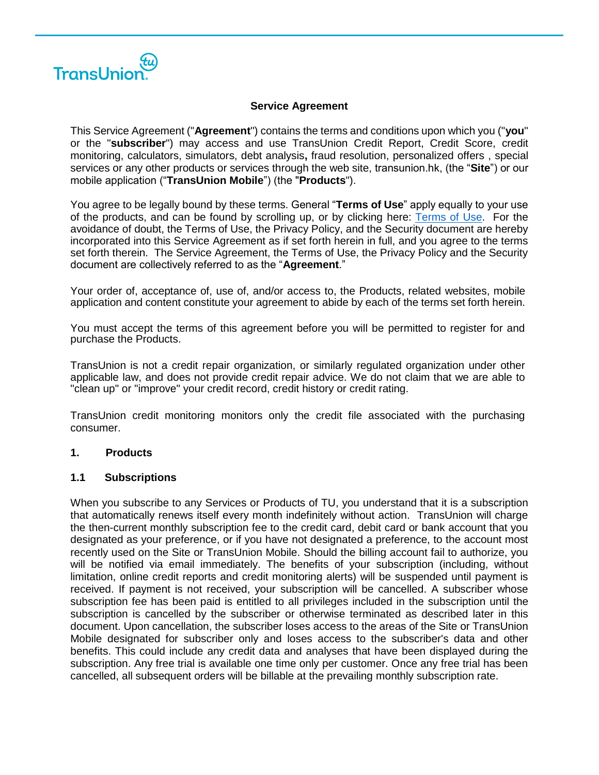

### **Service Agreement**

This Service Agreement ("**Agreement**") contains the terms and conditions upon which you ("**you**" or the "**subscriber**") may access and use TransUnion Credit Report, Credit Score, credit monitoring, calculators, simulators, debt analysis**,** fraud resolution, personalized offers , special services or any other products or services through the web site, transunion.hk, (the "**Site**") or our mobile application ("**TransUnion Mobile**") (the "**Products**").

You agree to be legally bound by these terms. General "**Terms of Use**" apply equally to your use of the products, and can be found by scrolling up, or by clicking here: [Terms of Use.](https://personalsolution.transunion.hk/ocrsps/doc/Terms_of_Use_en.pdf) For the avoidance of doubt, the Terms of Use, the Privacy Policy, and the Security document are hereby incorporated into this Service Agreement as if set forth herein in full, and you agree to the terms set forth therein. The Service Agreement, the Terms of Use, the Privacy Policy and the Security document are collectively referred to as the "**Agreement**."

Your order of, acceptance of, use of, and/or access to, the Products, related websites, mobile application and content constitute your agreement to abide by each of the terms set forth herein.

You must accept the terms of this agreement before you will be permitted to register for and purchase the Products.

TransUnion is not a credit repair organization, or similarly regulated organization under other applicable law, and does not provide credit repair advice. We do not claim that we are able to "clean up" or "improve" your credit record, credit history or credit rating.

TransUnion credit monitoring monitors only the credit file associated with the purchasing consumer.

### **1. Products**

#### **1.1 Subscriptions**

When you subscribe to any Services or Products of TU, you understand that it is a subscription that automatically renews itself every month indefinitely without action. TransUnion will charge the then-current monthly subscription fee to the credit card, debit card or bank account that you designated as your preference, or if you have not designated a preference, to the account most recently used on the Site or TransUnion Mobile. Should the billing account fail to authorize, you will be notified via email immediately. The benefits of your subscription (including, without limitation, online credit reports and credit monitoring alerts) will be suspended until payment is received. If payment is not received, your subscription will be cancelled. A subscriber whose subscription fee has been paid is entitled to all privileges included in the subscription until the subscription is cancelled by the subscriber or otherwise terminated as described later in this document. Upon cancellation, the subscriber loses access to the areas of the Site or TransUnion Mobile designated for subscriber only and loses access to the subscriber's data and other benefits. This could include any credit data and analyses that have been displayed during the subscription. Any free trial is available one time only per customer. Once any free trial has been cancelled, all subsequent orders will be billable at the prevailing monthly subscription rate.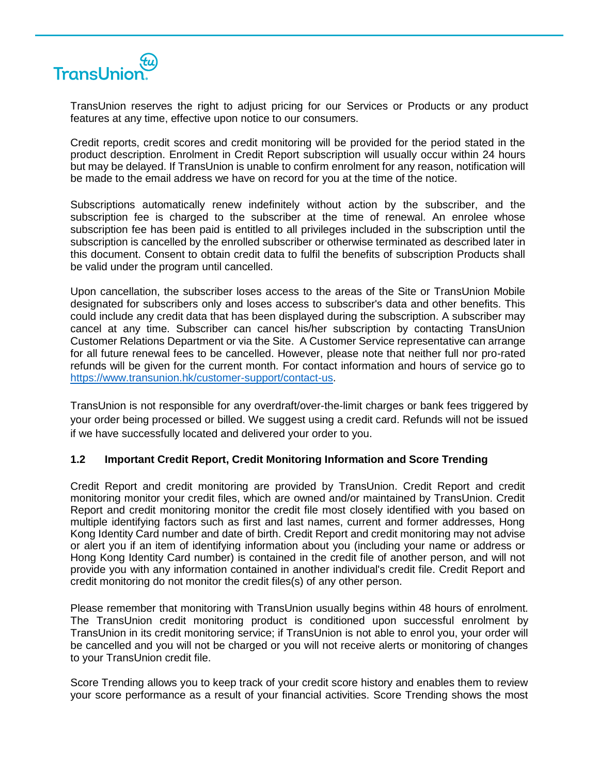

TransUnion reserves the right to adjust pricing for our Services or Products or any product features at any time, effective upon notice to our consumers.

Credit reports, credit scores and credit monitoring will be provided for the period stated in the product description. Enrolment in Credit Report subscription will usually occur within 24 hours but may be delayed. If TransUnion is unable to confirm enrolment for any reason, notification will be made to the email address we have on record for you at the time of the notice.

Subscriptions automatically renew indefinitely without action by the subscriber, and the subscription fee is charged to the subscriber at the time of renewal. An enrolee whose subscription fee has been paid is entitled to all privileges included in the subscription until the subscription is cancelled by the enrolled subscriber or otherwise terminated as described later in this document. Consent to obtain credit data to fulfil the benefits of subscription Products shall be valid under the program until cancelled.

Upon cancellation, the subscriber loses access to the areas of the Site or TransUnion Mobile designated for subscribers only and loses access to subscriber's data and other benefits. This could include any credit data that has been displayed during the subscription. A subscriber may cancel at any time. Subscriber can cancel his/her subscription by contacting TransUnion Customer Relations Department or via the Site. A Customer Service representative can arrange for all future renewal fees to be cancelled. However, please note that neither full nor pro-rated refunds will be given for the current month. For contact information and hours of service go to [https://www.transunion.hk/customer-support/contact-us.](https://www.transunion.hk/customer-support/contact-us)

TransUnion is not responsible for any overdraft/over-the-limit charges or bank fees triggered by your order being processed or billed. We suggest using a credit card. Refunds will not be issued if we have successfully located and delivered your order to you.

### **1.2 Important Credit Report, Credit Monitoring Information and Score Trending**

Credit Report and credit monitoring are provided by TransUnion. Credit Report and credit monitoring monitor your credit files, which are owned and/or maintained by TransUnion. Credit Report and credit monitoring monitor the credit file most closely identified with you based on multiple identifying factors such as first and last names, current and former addresses, Hong Kong Identity Card number and date of birth. Credit Report and credit monitoring may not advise or alert you if an item of identifying information about you (including your name or address or Hong Kong Identity Card number) is contained in the credit file of another person, and will not provide you with any information contained in another individual's credit file. Credit Report and credit monitoring do not monitor the credit files(s) of any other person.

Please remember that monitoring with TransUnion usually begins within 48 hours of enrolment. The TransUnion credit monitoring product is conditioned upon successful enrolment by TransUnion in its credit monitoring service; if TransUnion is not able to enrol you, your order will be cancelled and you will not be charged or you will not receive alerts or monitoring of changes to your TransUnion credit file.

Score Trending allows you to keep track of your credit score history and enables them to review your score performance as a result of your financial activities. Score Trending shows the most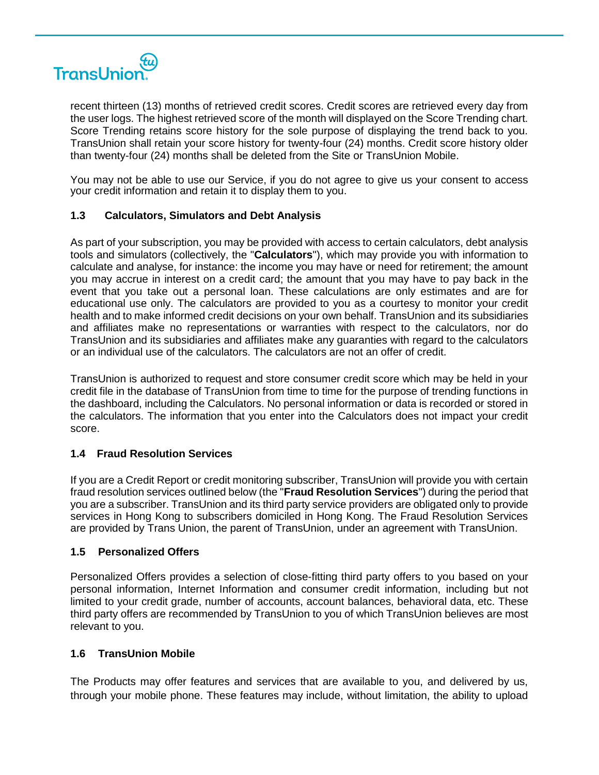

recent thirteen (13) months of retrieved credit scores. Credit scores are retrieved every day from the user logs. The highest retrieved score of the month will displayed on the Score Trending chart. Score Trending retains score history for the sole purpose of displaying the trend back to you. TransUnion shall retain your score history for twenty-four (24) months. Credit score history older than twenty-four (24) months shall be deleted from the Site or TransUnion Mobile.

You may not be able to use our Service, if you do not agree to give us your consent to access your credit information and retain it to display them to you.

# **1.3 Calculators, Simulators and Debt Analysis**

As part of your subscription, you may be provided with access to certain calculators, debt analysis tools and simulators (collectively, the "**Calculators**"), which may provide you with information to calculate and analyse, for instance: the income you may have or need for retirement; the amount you may accrue in interest on a credit card; the amount that you may have to pay back in the event that you take out a personal loan. These calculations are only estimates and are for educational use only. The calculators are provided to you as a courtesy to monitor your credit health and to make informed credit decisions on your own behalf. TransUnion and its subsidiaries and affiliates make no representations or warranties with respect to the calculators, nor do TransUnion and its subsidiaries and affiliates make any guaranties with regard to the calculators or an individual use of the calculators. The calculators are not an offer of credit.

TransUnion is authorized to request and store consumer credit score which may be held in your credit file in the database of TransUnion from time to time for the purpose of trending functions in the dashboard, including the Calculators. No personal information or data is recorded or stored in the calculators. The information that you enter into the Calculators does not impact your credit score.

### **1.4 Fraud Resolution Services**

If you are a Credit Report or credit monitoring subscriber, TransUnion will provide you with certain fraud resolution services outlined below (the "**Fraud Resolution Services**") during the period that you are a subscriber. TransUnion and its third party service providers are obligated only to provide services in Hong Kong to subscribers domiciled in Hong Kong. The Fraud Resolution Services are provided by Trans Union, the parent of TransUnion, under an agreement with TransUnion.

### **1.5 Personalized Offers**

Personalized Offers provides a selection of close-fitting third party offers to you based on your personal information, Internet Information and consumer credit information, including but not limited to your credit grade, number of accounts, account balances, behavioral data, etc. These third party offers are recommended by TransUnion to you of which TransUnion believes are most relevant to you.

### **1.6 TransUnion Mobile**

The Products may offer features and services that are available to you, and delivered by us, through your mobile phone. These features may include, without limitation, the ability to upload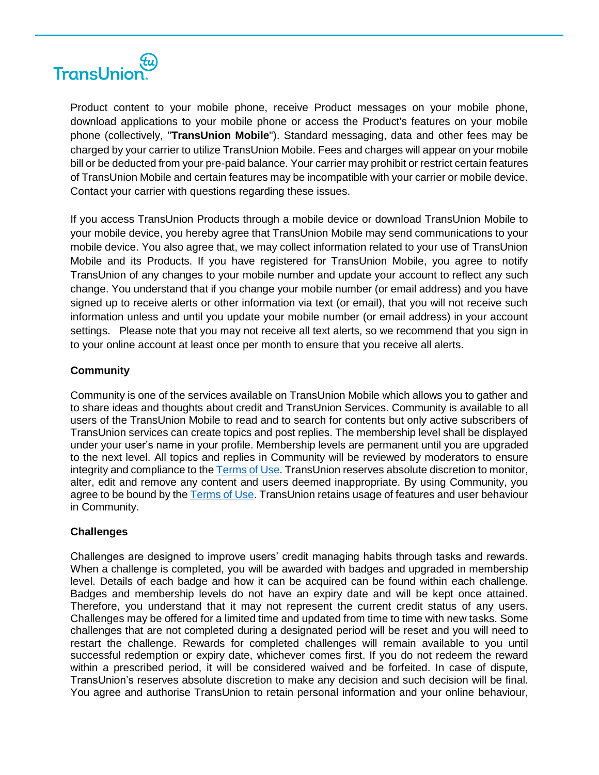

Product content to your mobile phone, receive Product messages on your mobile phone, download applications to your mobile phone or access the Product's features on your mobile phone (collectively, "**TransUnion Mobile**"). Standard messaging, data and other fees may be charged by your carrier to utilize TransUnion Mobile. Fees and charges will appear on your mobile bill or be deducted from your pre-paid balance. Your carrier may prohibit or restrict certain features of TransUnion Mobile and certain features may be incompatible with your carrier or mobile device. Contact your carrier with questions regarding these issues.

If you access TransUnion Products through a mobile device or download TransUnion Mobile to your mobile device, you hereby agree that TransUnion Mobile may send communications to your mobile device. You also agree that, we may collect information related to your use of TransUnion Mobile and its Products. If you have registered for TransUnion Mobile, you agree to notify TransUnion of any changes to your mobile number and update your account to reflect any such change. You understand that if you change your mobile number (or email address) and you have signed up to receive alerts or other information via text (or email), that you will not receive such information unless and until you update your mobile number (or email address) in your account settings. Please note that you may not receive all text alerts, so we recommend that you sign in to your online account at least once per month to ensure that you receive all alerts.

# **Community**

Community is one of the services available on TransUnion Mobile which allows you to gather and to share ideas and thoughts about credit and TransUnion Services. Community is available to all users of the TransUnion Mobile to read and to search for contents but only active subscribers of TransUnion services can create topics and post replies. The membership level shall be displayed under your user's name in your profile. Membership levels are permanent until you are upgraded to the next level. All topics and replies in Community will be reviewed by moderators to ensure integrity and compliance to the [Terms of Use.](https://personalsolution.transunion.hk/ocrsps/doc/Terms_of_Use_en.pdf) TransUnion reserves absolute discretion to monitor, alter, edit and remove any content and users deemed inappropriate. By using Community, you agree to be bound by th[e Terms of Use.](https://personalsolution.transunion.hk/ocrsps/doc/Terms_of_Use_en.pdf) TransUnion retains usage of features and user behaviour in Community.

# **Challenges**

Challenges are designed to improve users' credit managing habits through tasks and rewards. When a challenge is completed, you will be awarded with badges and upgraded in membership level. Details of each badge and how it can be acquired can be found within each challenge. Badges and membership levels do not have an expiry date and will be kept once attained. Therefore, you understand that it may not represent the current credit status of any users. Challenges may be offered for a limited time and updated from time to time with new tasks. Some challenges that are not completed during a designated period will be reset and you will need to restart the challenge. Rewards for completed challenges will remain available to you until successful redemption or expiry date, whichever comes first. If you do not redeem the reward within a prescribed period, it will be considered waived and be forfeited. In case of dispute, TransUnion's reserves absolute discretion to make any decision and such decision will be final. You agree and authorise TransUnion to retain personal information and your online behaviour,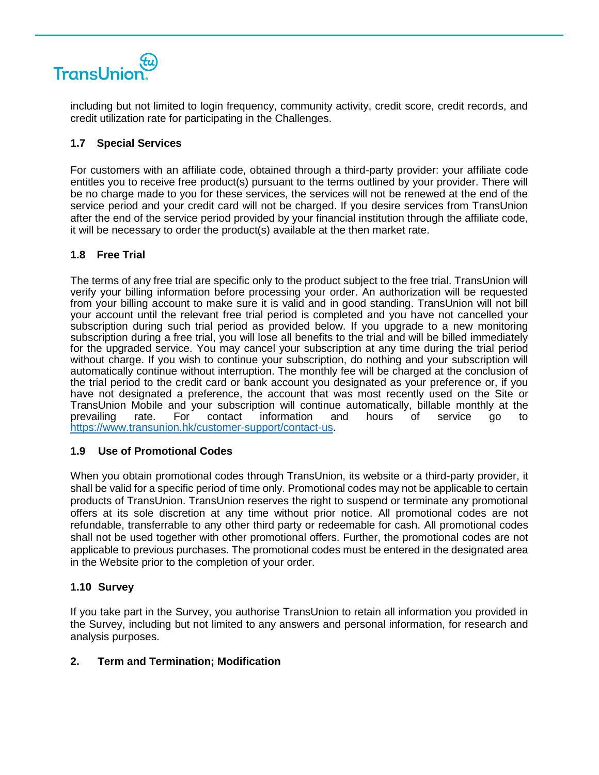

including but not limited to login frequency, community activity, credit score, credit records, and credit utilization rate for participating in the Challenges.

# **1.7 Special Services**

For customers with an affiliate code, obtained through a third-party provider: your affiliate code entitles you to receive free product(s) pursuant to the terms outlined by your provider. There will be no charge made to you for these services, the services will not be renewed at the end of the service period and your credit card will not be charged. If you desire services from TransUnion after the end of the service period provided by your financial institution through the affiliate code, it will be necessary to order the product(s) available at the then market rate.

# **1.8 Free Trial**

The terms of any free trial are specific only to the product subject to the free trial. TransUnion will verify your billing information before processing your order. An authorization will be requested from your billing account to make sure it is valid and in good standing. TransUnion will not bill your account until the relevant free trial period is completed and you have not cancelled your subscription during such trial period as provided below. If you upgrade to a new monitoring subscription during a free trial, you will lose all benefits to the trial and will be billed immediately for the upgraded service. You may cancel your subscription at any time during the trial period without charge. If you wish to continue your subscription, do nothing and your subscription will automatically continue without interruption. The monthly fee will be charged at the conclusion of the trial period to the credit card or bank account you designated as your preference or, if you have not designated a preference, the account that was most recently used on the Site or TransUnion Mobile and your subscription will continue automatically, billable monthly at the prevailing rate. For contact information and hours of service go to [https://www.transunion.hk/customer-support/contact-us.](https://www.transunion.hk/customer-support/contact-us)

# **1.9 Use of Promotional Codes**

When you obtain promotional codes through TransUnion, its website or a third-party provider, it shall be valid for a specific period of time only. Promotional codes may not be applicable to certain products of TransUnion. TransUnion reserves the right to suspend or terminate any promotional offers at its sole discretion at any time without prior notice. All promotional codes are not refundable, transferrable to any other third party or redeemable for cash. All promotional codes shall not be used together with other promotional offers. Further, the promotional codes are not applicable to previous purchases. The promotional codes must be entered in the designated area in the Website prior to the completion of your order.

### **1.10 Survey**

If you take part in the Survey, you authorise TransUnion to retain all information you provided in the Survey, including but not limited to any answers and personal information, for research and analysis purposes.

### **2. Term and Termination; Modification**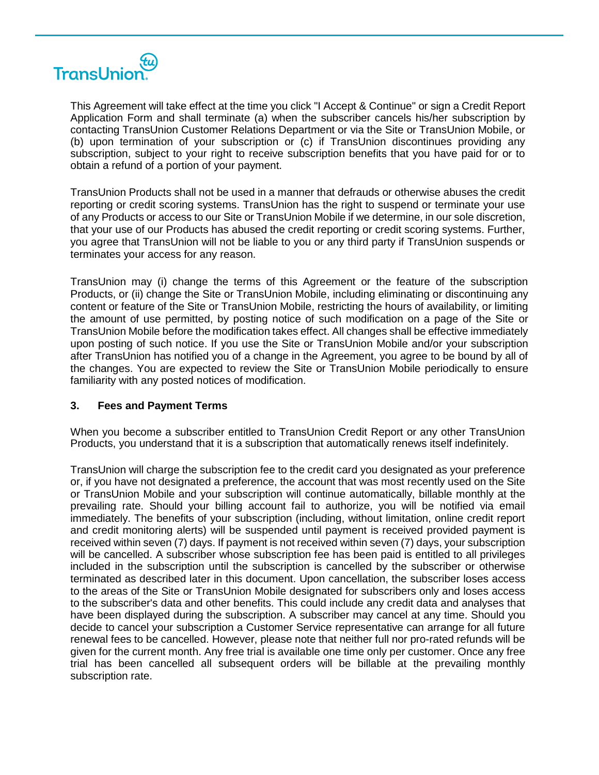

This Agreement will take effect at the time you click "I Accept & Continue" or sign a Credit Report Application Form and shall terminate (a) when the subscriber cancels his/her subscription by contacting TransUnion Customer Relations Department or via the Site or TransUnion Mobile, or (b) upon termination of your subscription or (c) if TransUnion discontinues providing any subscription, subject to your right to receive subscription benefits that you have paid for or to obtain a refund of a portion of your payment.

TransUnion Products shall not be used in a manner that defrauds or otherwise abuses the credit reporting or credit scoring systems. TransUnion has the right to suspend or terminate your use of any Products or access to our Site or TransUnion Mobile if we determine, in our sole discretion, that your use of our Products has abused the credit reporting or credit scoring systems. Further, you agree that TransUnion will not be liable to you or any third party if TransUnion suspends or terminates your access for any reason.

TransUnion may (i) change the terms of this Agreement or the feature of the subscription Products, or (ii) change the Site or TransUnion Mobile, including eliminating or discontinuing any content or feature of the Site or TransUnion Mobile, restricting the hours of availability, or limiting the amount of use permitted, by posting notice of such modification on a page of the Site or TransUnion Mobile before the modification takes effect. All changes shall be effective immediately upon posting of such notice. If you use the Site or TransUnion Mobile and/or your subscription after TransUnion has notified you of a change in the Agreement, you agree to be bound by all of the changes. You are expected to review the Site or TransUnion Mobile periodically to ensure familiarity with any posted notices of modification.

### **3. Fees and Payment Terms**

When you become a subscriber entitled to TransUnion Credit Report or any other TransUnion Products, you understand that it is a subscription that automatically renews itself indefinitely.

TransUnion will charge the subscription fee to the credit card you designated as your preference or, if you have not designated a preference, the account that was most recently used on the Site or TransUnion Mobile and your subscription will continue automatically, billable monthly at the prevailing rate. Should your billing account fail to authorize, you will be notified via email immediately. The benefits of your subscription (including, without limitation, online credit report and credit monitoring alerts) will be suspended until payment is received provided payment is received within seven (7) days. If payment is not received within seven (7) days, your subscription will be cancelled. A subscriber whose subscription fee has been paid is entitled to all privileges included in the subscription until the subscription is cancelled by the subscriber or otherwise terminated as described later in this document. Upon cancellation, the subscriber loses access to the areas of the Site or TransUnion Mobile designated for subscribers only and loses access to the subscriber's data and other benefits. This could include any credit data and analyses that have been displayed during the subscription. A subscriber may cancel at any time. Should you decide to cancel your subscription a Customer Service representative can arrange for all future renewal fees to be cancelled. However, please note that neither full nor pro-rated refunds will be given for the current month. Any free trial is available one time only per customer. Once any free trial has been cancelled all subsequent orders will be billable at the prevailing monthly subscription rate.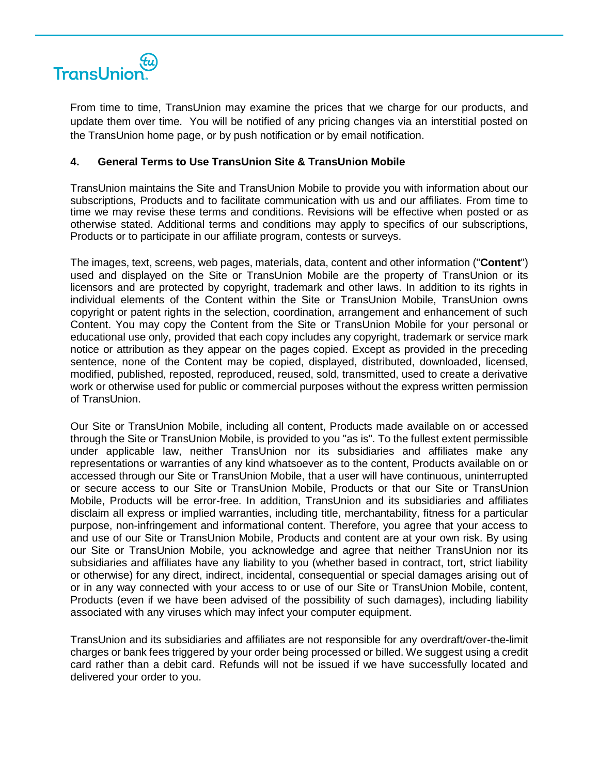

From time to time, TransUnion may examine the prices that we charge for our products, and update them over time. You will be notified of any pricing changes via an interstitial posted on the TransUnion home page, or by push notification or by email notification.

### **4. General Terms to Use TransUnion Site & TransUnion Mobile**

TransUnion maintains the Site and TransUnion Mobile to provide you with information about our subscriptions, Products and to facilitate communication with us and our affiliates. From time to time we may revise these terms and conditions. Revisions will be effective when posted or as otherwise stated. Additional terms and conditions may apply to specifics of our subscriptions, Products or to participate in our affiliate program, contests or surveys.

The images, text, screens, web pages, materials, data, content and other information ("**Content**") used and displayed on the Site or TransUnion Mobile are the property of TransUnion or its licensors and are protected by copyright, trademark and other laws. In addition to its rights in individual elements of the Content within the Site or TransUnion Mobile, TransUnion owns copyright or patent rights in the selection, coordination, arrangement and enhancement of such Content. You may copy the Content from the Site or TransUnion Mobile for your personal or educational use only, provided that each copy includes any copyright, trademark or service mark notice or attribution as they appear on the pages copied. Except as provided in the preceding sentence, none of the Content may be copied, displayed, distributed, downloaded, licensed, modified, published, reposted, reproduced, reused, sold, transmitted, used to create a derivative work or otherwise used for public or commercial purposes without the express written permission of TransUnion.

Our Site or TransUnion Mobile, including all content, Products made available on or accessed through the Site or TransUnion Mobile, is provided to you "as is". To the fullest extent permissible under applicable law, neither TransUnion nor its subsidiaries and affiliates make any representations or warranties of any kind whatsoever as to the content, Products available on or accessed through our Site or TransUnion Mobile, that a user will have continuous, uninterrupted or secure access to our Site or TransUnion Mobile, Products or that our Site or TransUnion Mobile, Products will be error-free. In addition, TransUnion and its subsidiaries and affiliates disclaim all express or implied warranties, including title, merchantability, fitness for a particular purpose, non-infringement and informational content. Therefore, you agree that your access to and use of our Site or TransUnion Mobile, Products and content are at your own risk. By using our Site or TransUnion Mobile, you acknowledge and agree that neither TransUnion nor its subsidiaries and affiliates have any liability to you (whether based in contract, tort, strict liability or otherwise) for any direct, indirect, incidental, consequential or special damages arising out of or in any way connected with your access to or use of our Site or TransUnion Mobile, content, Products (even if we have been advised of the possibility of such damages), including liability associated with any viruses which may infect your computer equipment.

TransUnion and its subsidiaries and affiliates are not responsible for any overdraft/over-the-limit charges or bank fees triggered by your order being processed or billed. We suggest using a credit card rather than a debit card. Refunds will not be issued if we have successfully located and delivered your order to you.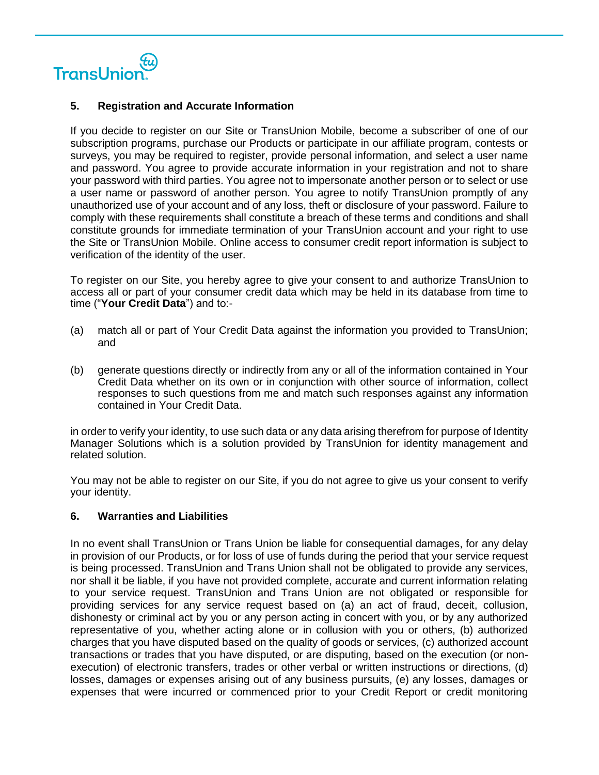

#### **5. Registration and Accurate Information**

If you decide to register on our Site or TransUnion Mobile, become a subscriber of one of our subscription programs, purchase our Products or participate in our affiliate program, contests or surveys, you may be required to register, provide personal information, and select a user name and password. You agree to provide accurate information in your registration and not to share your password with third parties. You agree not to impersonate another person or to select or use a user name or password of another person. You agree to notify TransUnion promptly of any unauthorized use of your account and of any loss, theft or disclosure of your password. Failure to comply with these requirements shall constitute a breach of these terms and conditions and shall constitute grounds for immediate termination of your TransUnion account and your right to use the Site or TransUnion Mobile. Online access to consumer credit report information is subject to verification of the identity of the user.

To register on our Site, you hereby agree to give your consent to and authorize TransUnion to access all or part of your consumer credit data which may be held in its database from time to time ("**Your Credit Data**") and to:-

- (a) match all or part of Your Credit Data against the information you provided to TransUnion; and
- (b) generate questions directly or indirectly from any or all of the information contained in Your Credit Data whether on its own or in conjunction with other source of information, collect responses to such questions from me and match such responses against any information contained in Your Credit Data.

in order to verify your identity, to use such data or any data arising therefrom for purpose of Identity Manager Solutions which is a solution provided by TransUnion for identity management and related solution.

You may not be able to register on our Site, if you do not agree to give us your consent to verify your identity.

### **6. Warranties and Liabilities**

In no event shall TransUnion or Trans Union be liable for consequential damages, for any delay in provision of our Products, or for loss of use of funds during the period that your service request is being processed. TransUnion and Trans Union shall not be obligated to provide any services, nor shall it be liable, if you have not provided complete, accurate and current information relating to your service request. TransUnion and Trans Union are not obligated or responsible for providing services for any service request based on (a) an act of fraud, deceit, collusion, dishonesty or criminal act by you or any person acting in concert with you, or by any authorized representative of you, whether acting alone or in collusion with you or others, (b) authorized charges that you have disputed based on the quality of goods or services, (c) authorized account transactions or trades that you have disputed, or are disputing, based on the execution (or nonexecution) of electronic transfers, trades or other verbal or written instructions or directions, (d) losses, damages or expenses arising out of any business pursuits, (e) any losses, damages or expenses that were incurred or commenced prior to your Credit Report or credit monitoring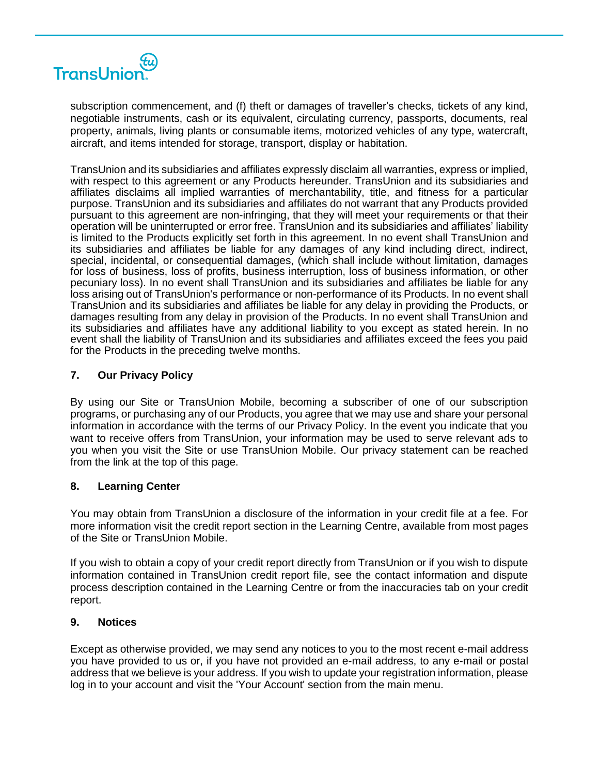

subscription commencement, and (f) theft or damages of traveller's checks, tickets of any kind, negotiable instruments, cash or its equivalent, circulating currency, passports, documents, real property, animals, living plants or consumable items, motorized vehicles of any type, watercraft, aircraft, and items intended for storage, transport, display or habitation.

TransUnion and its subsidiaries and affiliates expressly disclaim all warranties, express or implied, with respect to this agreement or any Products hereunder. TransUnion and its subsidiaries and affiliates disclaims all implied warranties of merchantability, title, and fitness for a particular purpose. TransUnion and its subsidiaries and affiliates do not warrant that any Products provided pursuant to this agreement are non-infringing, that they will meet your requirements or that their operation will be uninterrupted or error free. TransUnion and its subsidiaries and affiliates' liability is limited to the Products explicitly set forth in this agreement. In no event shall TransUnion and its subsidiaries and affiliates be liable for any damages of any kind including direct, indirect, special, incidental, or consequential damages, (which shall include without limitation, damages for loss of business, loss of profits, business interruption, loss of business information, or other pecuniary loss). In no event shall TransUnion and its subsidiaries and affiliates be liable for any loss arising out of TransUnion's performance or non-performance of its Products. In no event shall TransUnion and its subsidiaries and affiliates be liable for any delay in providing the Products, or damages resulting from any delay in provision of the Products. In no event shall TransUnion and its subsidiaries and affiliates have any additional liability to you except as stated herein. In no event shall the liability of TransUnion and its subsidiaries and affiliates exceed the fees you paid for the Products in the preceding twelve months.

# **7. Our Privacy Policy**

By using our Site or TransUnion Mobile, becoming a subscriber of one of our subscription programs, or purchasing any of our Products, you agree that we may use and share your personal information in accordance with the terms of our Privacy Policy. In the event you indicate that you want to receive offers from TransUnion, your information may be used to serve relevant ads to you when you visit the Site or use TransUnion Mobile. Our privacy statement can be reached from the link at the top of this page.

### **8. Learning Center**

You may obtain from TransUnion a disclosure of the information in your credit file at a fee. For more information visit the credit report section in the Learning Centre, available from most pages of the Site or TransUnion Mobile.

If you wish to obtain a copy of your credit report directly from TransUnion or if you wish to dispute information contained in TransUnion credit report file, see the contact information and dispute process description contained in the Learning Centre or from the inaccuracies tab on your credit report.

### **9. Notices**

Except as otherwise provided, we may send any notices to you to the most recent e-mail address you have provided to us or, if you have not provided an e-mail address, to any e-mail or postal address that we believe is your address. If you wish to update your registration information, please log in to your account and visit the 'Your Account' section from the main menu.